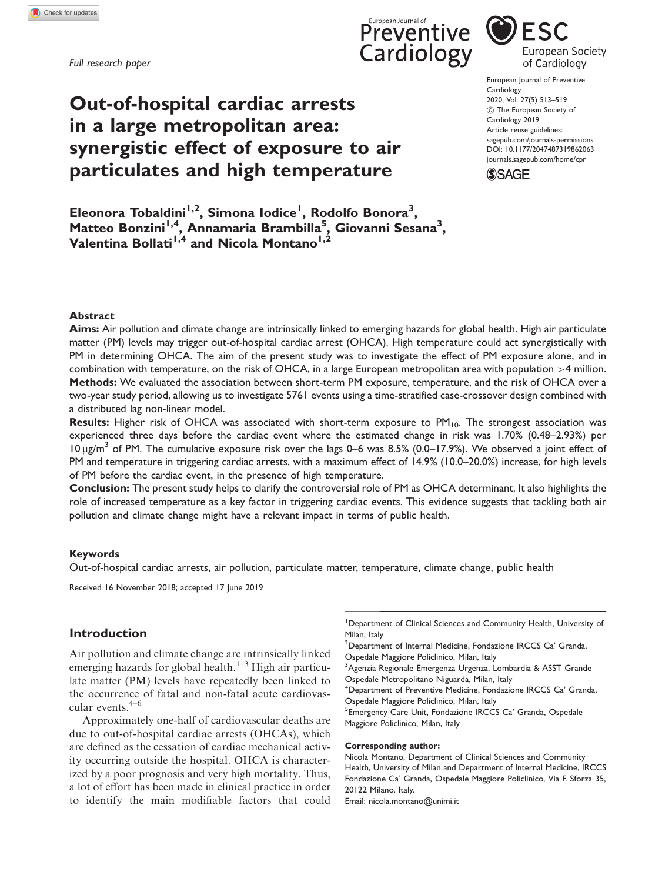Full research paper

# Out-of-hospital cardiac arrests in a large metropolitan area: synergistic effect of exposure to air particulates and high temperature

**ESC** European Society of Cardiology

European Journal of Preventive Cardiology 2020, Vol. 27(5) 513–519  $\odot$  The European Society of Cardiology 2019 Article reuse guidelines: [sagepub.com/journals-permissions](https://uk.sagepub.com/en-gb/journals-permissions) DOI: [10.1177/2047487319862063](https://doi.org/10.1177/2047487319862063) <journals.sagepub.com/home/cpr>



Preventive

Cardiology

Eleonora Tobaldini<sup>1,2</sup>, Simona Iodice<sup>1</sup>, Rodolfo Bonora<sup>3</sup>, Matteo Bonzini<sup>1,4</sup>, Annamaria Brambilla<sup>5</sup>, Giovanni Sesana<sup>3</sup>, Valentina Bollati<sup>1,4</sup> and Nicola Montano<sup>1,2</sup>

#### **Abstract**

Aims: Air pollution and climate change are intrinsically linked to emerging hazards for global health. High air particulate matter (PM) levels may trigger out-of-hospital cardiac arrest (OHCA). High temperature could act synergistically with PM in determining OHCA. The aim of the present study was to investigate the effect of PM exposure alone, and in combination with temperature, on the risk of OHCA, in a large European metropolitan area with population >4 million. Methods: We evaluated the association between short-term PM exposure, temperature, and the risk of OHCA over a two-year study period, allowing us to investigate 5761 events using a time-stratified case-crossover design combined with a distributed lag non-linear model.

**Results:** Higher risk of OHCA was associated with short-term exposure to  $PM_{10}$ . The strongest association was experienced three days before the cardiac event where the estimated change in risk was 1.70% (0.48–2.93%) per  $10 \mu g/m^3$  of PM. The cumulative exposure risk over the lags 0–6 was 8.5% (0.0–17.9%). We observed a joint effect of PM and temperature in triggering cardiac arrests, with a maximum effect of 14.9% (10.0–20.0%) increase, for high levels of PM before the cardiac event, in the presence of high temperature.

Conclusion: The present study helps to clarify the controversial role of PM as OHCA determinant. It also highlights the role of increased temperature as a key factor in triggering cardiac events. This evidence suggests that tackling both air pollution and climate change might have a relevant impact in terms of public health.

## Keywords

Out-of-hospital cardiac arrests, air pollution, particulate matter, temperature, climate change, public health

Received 16 November 2018; accepted 17 June 2019

# Introduction

Air pollution and climate change are intrinsically linked emerging hazards for global health. $1-3$  High air particulate matter (PM) levels have repeatedly been linked to the occurrence of fatal and non-fatal acute cardiovascular events. $4-6$ 

Approximately one-half of cardiovascular deaths are due to out-of-hospital cardiac arrests (OHCAs), which are defined as the cessation of cardiac mechanical activity occurring outside the hospital. OHCA is characterized by a poor prognosis and very high mortality. Thus, a lot of effort has been made in clinical practice in order to identify the main modifiable factors that could

<sup>1</sup>Department of Clinical Sciences and Community Health, University of Milan, Italy

<sup>2</sup>Department of Internal Medicine, Fondazione IRCCS Ca' Granda, Ospedale Maggiore Policlinico, Milan, Italy

<sup>3</sup> Agenzia Regionale Emergenza Urgenza, Lombardia & ASST Grande Ospedale Metropolitano Niguarda, Milan, Italy

<sup>4</sup>Department of Preventive Medicine, Fondazione IRCCS Ca' Granda, Ospedale Maggiore Policlinico, Milan, Italy

<sup>5</sup> Emergency Care Unit, Fondazione IRCCS Ca' Granda, Ospedale Maggiore Policlinico, Milan, Italy

#### Corresponding author:

Nicola Montano, Department of Clinical Sciences and Community Health, University of Milan and Department of Internal Medicine, IRCCS Fondazione Ca' Granda, Ospedale Maggiore Policlinico, Via F. Sforza 35, 20122 Milano, Italy. Email: nicola.montano@unimi.it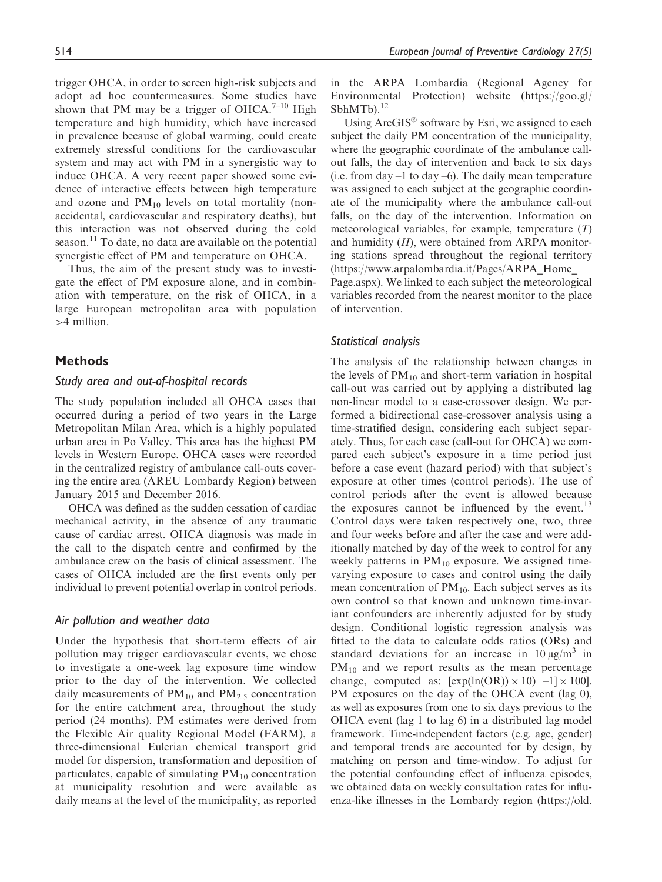trigger OHCA, in order to screen high-risk subjects and adopt ad hoc countermeasures. Some studies have shown that PM may be a trigger of OHCA.<sup>7-10</sup> High temperature and high humidity, which have increased in prevalence because of global warming, could create extremely stressful conditions for the cardiovascular system and may act with PM in a synergistic way to induce OHCA. A very recent paper showed some evidence of interactive effects between high temperature and ozone and  $PM_{10}$  levels on total mortality (nonaccidental, cardiovascular and respiratory deaths), but this interaction was not observed during the cold season. $^{11}$  To date, no data are available on the potential synergistic effect of PM and temperature on OHCA.

Thus, the aim of the present study was to investigate the effect of PM exposure alone, and in combination with temperature, on the risk of OHCA, in a large European metropolitan area with population >4 million.

# Methods

## Study area and out-of-hospital records

The study population included all OHCA cases that occurred during a period of two years in the Large Metropolitan Milan Area, which is a highly populated urban area in Po Valley. This area has the highest PM levels in Western Europe. OHCA cases were recorded in the centralized registry of ambulance call-outs covering the entire area (AREU Lombardy Region) between January 2015 and December 2016.

OHCA was defined as the sudden cessation of cardiac mechanical activity, in the absence of any traumatic cause of cardiac arrest. OHCA diagnosis was made in the call to the dispatch centre and confirmed by the ambulance crew on the basis of clinical assessment. The cases of OHCA included are the first events only per individual to prevent potential overlap in control periods.

## Air pollution and weather data

Under the hypothesis that short-term effects of air pollution may trigger cardiovascular events, we chose to investigate a one-week lag exposure time window prior to the day of the intervention. We collected daily measurements of  $PM_{10}$  and  $PM_{2.5}$  concentration for the entire catchment area, throughout the study period (24 months). PM estimates were derived from the Flexible Air quality Regional Model (FARM), a three-dimensional Eulerian chemical transport grid model for dispersion, transformation and deposition of particulates, capable of simulating  $PM_{10}$  concentration at municipality resolution and were available as daily means at the level of the municipality, as reported in the ARPA Lombardia (Regional Agency for Environmental Protection) website [\(https://goo.gl/](https://goo.gl/SbhMTb)  $SbhMTh$ ).<sup>12</sup>

Using ArcGIS<sup>®</sup> software by Esri, we assigned to each subject the daily PM concentration of the municipality, where the geographic coordinate of the ambulance callout falls, the day of intervention and back to six days (i.e. from day  $-1$  to day  $-6$ ). The daily mean temperature was assigned to each subject at the geographic coordinate of the municipality where the ambulance call-out falls, on the day of the intervention. Information on meteorological variables, for example, temperature  $(T)$ and humidity  $(H)$ , were obtained from ARPA monitoring stations spread throughout the regional territory ([https://www.arpalombardia.it/Pages/ARPA\\_Home\\_](https://www.arpalombardia.it/Pages/ARPA_Home_Page.aspx)

[Page.aspx](https://www.arpalombardia.it/Pages/ARPA_Home_Page.aspx)). We linked to each subject the meteorological variables recorded from the nearest monitor to the place of intervention.

## Statistical analysis

The analysis of the relationship between changes in the levels of  $PM_{10}$  and short-term variation in hospital call-out was carried out by applying a distributed lag non-linear model to a case-crossover design. We performed a bidirectional case-crossover analysis using a time-stratified design, considering each subject separately. Thus, for each case (call-out for OHCA) we compared each subject's exposure in a time period just before a case event (hazard period) with that subject's exposure at other times (control periods). The use of control periods after the event is allowed because the exposures cannot be influenced by the event. $^{13}$ Control days were taken respectively one, two, three and four weeks before and after the case and were additionally matched by day of the week to control for any weekly patterns in  $PM_{10}$  exposure. We assigned timevarying exposure to cases and control using the daily mean concentration of  $PM_{10}$ . Each subject serves as its own control so that known and unknown time-invariant confounders are inherently adjusted for by study design. Conditional logistic regression analysis was fitted to the data to calculate odds ratios (ORs) and standard deviations for an increase in  $10 \mu g/m^3$  in  $PM_{10}$  and we report results as the mean percentage change, computed as:  $[\exp(\ln(OR)) \times 10]$  -1]  $\times 100$ ]. PM exposures on the day of the OHCA event (lag 0), as well as exposures from one to six days previous to the OHCA event (lag 1 to lag 6) in a distributed lag model framework. Time-independent factors (e.g. age, gender) and temporal trends are accounted for by design, by matching on person and time-window. To adjust for the potential confounding effect of influenza episodes, we obtained data on weekly consultation rates for influenza-like illnesses in the Lombardy region ([https://old.](https://old.iss.it/site/RMI/influnet/pagine/stagioni.aspx)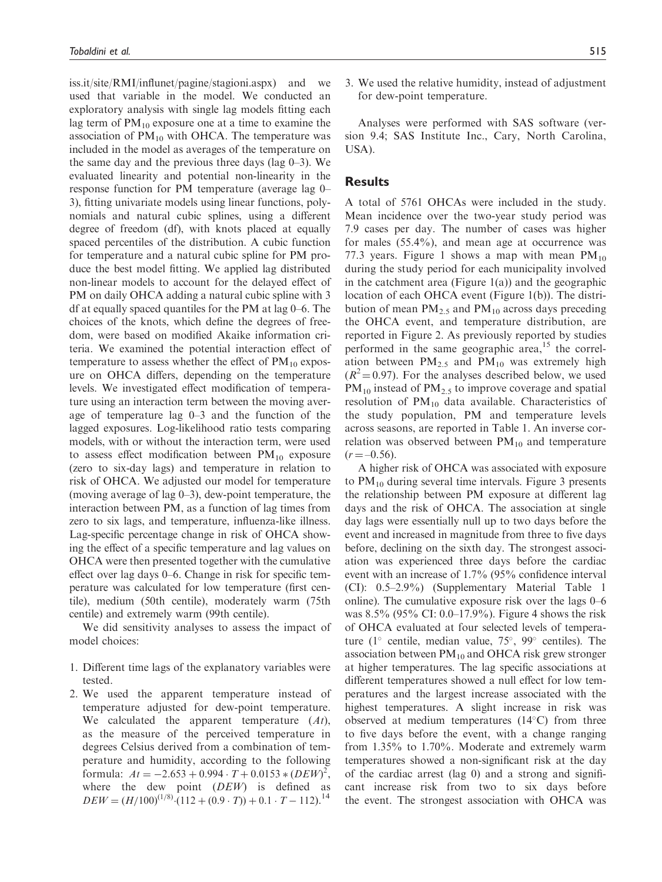[iss.it/site/RMI/influnet/pagine/stagioni.aspx](https://old.iss.it/site/RMI/influnet/pagine/stagioni.aspx)) and we used that variable in the model. We conducted an exploratory analysis with single lag models fitting each lag term of  $PM_{10}$  exposure one at a time to examine the association of  $PM_{10}$  with OHCA. The temperature was included in the model as averages of the temperature on the same day and the previous three days (lag  $0-3$ ). We evaluated linearity and potential non-linearity in the response function for PM temperature (average lag 0– 3), fitting univariate models using linear functions, polynomials and natural cubic splines, using a different degree of freedom (df), with knots placed at equally spaced percentiles of the distribution. A cubic function for temperature and a natural cubic spline for PM produce the best model fitting. We applied lag distributed non-linear models to account for the delayed effect of PM on daily OHCA adding a natural cubic spline with 3 df at equally spaced quantiles for the PM at lag 0–6. The choices of the knots, which define the degrees of freedom, were based on modified Akaike information criteria. We examined the potential interaction effect of temperature to assess whether the effect of  $PM_{10}$  exposure on OHCA differs, depending on the temperature levels. We investigated effect modification of temperature using an interaction term between the moving average of temperature lag 0–3 and the function of the lagged exposures. Log-likelihood ratio tests comparing models, with or without the interaction term, were used to assess effect modification between  $PM_{10}$  exposure (zero to six-day lags) and temperature in relation to risk of OHCA. We adjusted our model for temperature (moving average of lag 0–3), dew-point temperature, the interaction between PM, as a function of lag times from zero to six lags, and temperature, influenza-like illness. Lag-specific percentage change in risk of OHCA showing the effect of a specific temperature and lag values on OHCA were then presented together with the cumulative effect over lag days 0–6. Change in risk for specific temperature was calculated for low temperature (first centile), medium (50th centile), moderately warm (75th centile) and extremely warm (99th centile).

We did sensitivity analyses to assess the impact of model choices:

- 1. Different time lags of the explanatory variables were tested.
- 2. We used the apparent temperature instead of temperature adjusted for dew-point temperature. We calculated the apparent temperature  $(At)$ , as the measure of the perceived temperature in degrees Celsius derived from a combination of temperature and humidity, according to the following formula:  $At = -2.653 + 0.994 \cdot T + 0.0153 * (DEW)^2$ , where the dew point  $(DEW)$  is defined as  $DEW = (H/100)^{(1/8)} \cdot (112 + (0.9 \cdot T)) + 0.1 \cdot T - 112).^{14}$

3. We used the relative humidity, instead of adjustment for dew-point temperature.

Analyses were performed with SAS software (version 9.4; SAS Institute Inc., Cary, North Carolina, USA).

# **Results**

A total of 5761 OHCAs were included in the study. Mean incidence over the two-year study period was 7.9 cases per day. The number of cases was higher for males (55.4%), and mean age at occurrence was 77.3 years. Figure 1 shows a map with mean  $PM_{10}$ during the study period for each municipality involved in the catchment area (Figure  $1(a)$ ) and the geographic location of each OHCA event (Figure 1(b)). The distribution of mean  $PM_{2.5}$  and  $PM_{10}$  across days preceding the OHCA event, and temperature distribution, are reported in Figure 2. As previously reported by studies performed in the same geographic area, $^{15}$  the correlation between  $PM_{2.5}$  and  $PM_{10}$  was extremely high  $(R^2 = 0.97)$ . For the analyses described below, we used  $PM_{10}$  instead of  $PM_{2.5}$  to improve coverage and spatial resolution of  $PM_{10}$  data available. Characteristics of the study population, PM and temperature levels across seasons, are reported in Table 1. An inverse correlation was observed between  $PM_{10}$  and temperature  $(r = -0.56)$ .

A higher risk of OHCA was associated with exposure to  $PM_{10}$  during several time intervals. Figure 3 presents the relationship between PM exposure at different lag days and the risk of OHCA. The association at single day lags were essentially null up to two days before the event and increased in magnitude from three to five days before, declining on the sixth day. The strongest association was experienced three days before the cardiac event with an increase of 1.7% (95% confidence interval (CI): 0.5–2.9%) (Supplementary Material Table 1 online). The cumulative exposure risk over the lags 0–6 was 8.5% (95% CI: 0.0–17.9%). Figure 4 shows the risk of OHCA evaluated at four selected levels of temperature ( $1^\circ$  centile, median value,  $75^\circ$ ,  $99^\circ$  centiles). The association between  $PM_{10}$  and OHCA risk grew stronger at higher temperatures. The lag specific associations at different temperatures showed a null effect for low temperatures and the largest increase associated with the highest temperatures. A slight increase in risk was observed at medium temperatures  $(14^{\circ}C)$  from three to five days before the event, with a change ranging from 1.35% to 1.70%. Moderate and extremely warm temperatures showed a non-significant risk at the day of the cardiac arrest (lag 0) and a strong and significant increase risk from two to six days before the event. The strongest association with OHCA was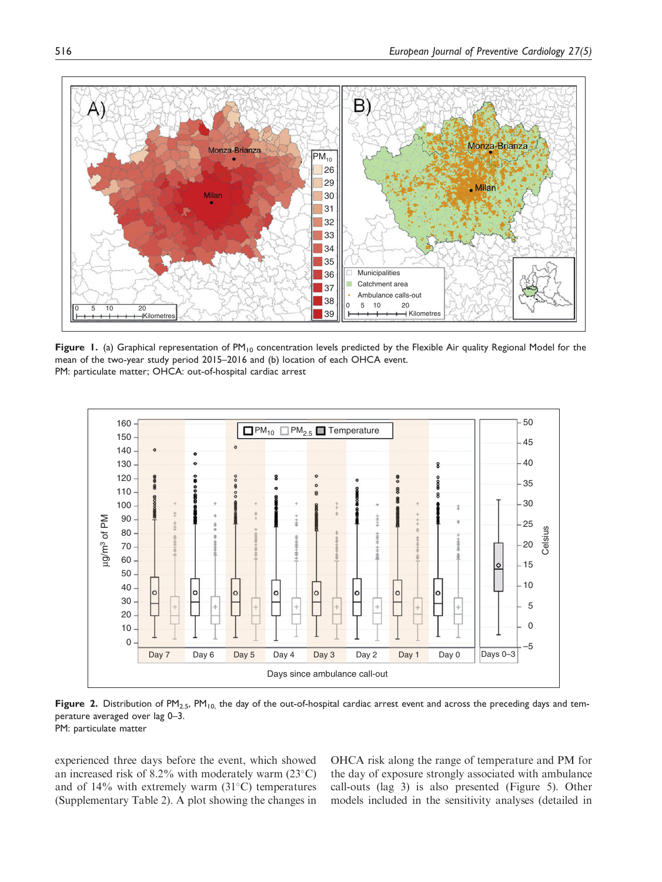

Figure 1. (a) Graphical representation of  $PM_{10}$  concentration levels predicted by the Flexible Air quality Regional Model for the mean of the two-year study period 2015–2016 and (b) location of each OHCA event. PM: particulate matter; OHCA: out-of-hospital cardiac arrest



Figure 2. Distribution of PM<sub>2.5</sub>, PM<sub>10,</sub> the day of the out-of-hospital cardiac arrest event and across the preceding days and temperature averaged over lag 0–3.

PM: particulate matter

experienced three days before the event, which showed an increased risk of 8.2% with moderately warm  $(23^{\circ}C)$ and of  $14\%$  with extremely warm  $(31^{\circ}C)$  temperatures (Supplementary Table 2). A plot showing the changes in

OHCA risk along the range of temperature and PM for the day of exposure strongly associated with ambulance call-outs (lag 3) is also presented (Figure 5). Other models included in the sensitivity analyses (detailed in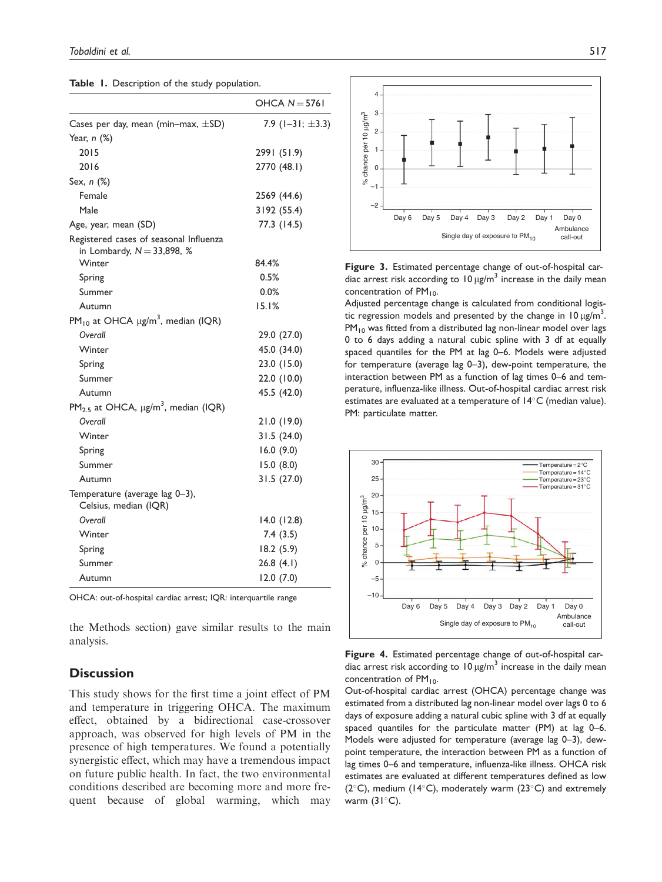|                                                                        | OHCA $N = 5761$       |
|------------------------------------------------------------------------|-----------------------|
| Cases per day, mean (min-max, $\pm$ SD)                                | 7.9 $(1-31; \pm 3.3)$ |
| Year, $n$ $(\%)$                                                       |                       |
| 2015                                                                   | 2991 (51.9)           |
| 2016                                                                   | 2770 (48.1)           |
| Sex, n (%)                                                             |                       |
| Female                                                                 | 2569 (44.6)           |
| Male                                                                   | 3192 (55.4)           |
| Age, year, mean (SD)                                                   | 77.3 (14.5)           |
| Registered cases of seasonal Influenza<br>in Lombardy, $N = 33,898, %$ |                       |
| Winter                                                                 | 84.4%                 |
| Spring                                                                 | 0.5%                  |
| Summer                                                                 | 0.0%                  |
| Autumn                                                                 | 15.1%                 |
| PM <sub>10</sub> at OHCA $\mu$ g/m <sup>3</sup> , median (IQR)         |                       |
| Overall                                                                | 29.0 (27.0)           |
| Winter                                                                 | 45.0 (34.0)           |
| Spring                                                                 | 23.0 (15.0)           |
| Summer                                                                 | 22.0 (10.0)           |
| Autumn                                                                 | 45.5 (42.0)           |
| $PM_{2.5}$ at OHCA, $\mu$ g/m <sup>3</sup> , median (IQR)              |                       |
| Overall                                                                | 21.0 (19.0)           |
| Winter                                                                 | 31.5(24.0)            |
| Spring                                                                 | 16.0(9.0)             |
| Summer                                                                 | 15.0(8.0)             |
| Autumn                                                                 | 31.5(27.0)            |
| Temperature (average lag 0-3),<br>Celsius, median (IQR)                |                       |
| Overall                                                                | 14.0 (12.8)           |
| Winter                                                                 | 7.4(3.5)              |
| Spring                                                                 | 18.2 (5.9)            |
| Summer                                                                 | 26.8(4.1)             |
| Autumn                                                                 | 12.0(7.0)             |

OHCA: out-of-hospital cardiac arrest; IQR: interquartile range

the Methods section) gave similar results to the main analysis.

# **Discussion**

This study shows for the first time a joint effect of PM and temperature in triggering OHCA. The maximum effect, obtained by a bidirectional case-crossover approach, was observed for high levels of PM in the presence of high temperatures. We found a potentially synergistic effect, which may have a tremendous impact on future public health. In fact, the two environmental conditions described are becoming more and more frequent because of global warming, which may



Figure 3. Estimated percentage change of out-of-hospital cardiac arrest risk according to  $10 \mu g/m^3$  increase in the daily mean concentration of PM<sub>10</sub>.

Adjusted percentage change is calculated from conditional logistic regression models and presented by the change in 10  $\mu$ g/m<sup>3</sup>.  $PM_{10}$  was fitted from a distributed lag non-linear model over lags 0 to 6 days adding a natural cubic spline with 3 df at equally spaced quantiles for the PM at lag 0–6. Models were adjusted for temperature (average lag 0–3), dew-point temperature, the interaction between PM as a function of lag times 0–6 and temperature, influenza-like illness. Out-of-hospital cardiac arrest risk estimates are evaluated at a temperature of 14°C (median value). PM: particulate matter.



Figure 4. Estimated percentage change of out-of-hospital cardiac arrest risk according to  $10 \mu g/m<sup>3</sup>$  increase in the daily mean concentration of  $PM_{10}$ .

Out-of-hospital cardiac arrest (OHCA) percentage change was estimated from a distributed lag non-linear model over lags 0 to 6 days of exposure adding a natural cubic spline with 3 df at equally spaced quantiles for the particulate matter (PM) at lag 0–6. Models were adjusted for temperature (average lag 0–3), dewpoint temperature, the interaction between PM as a function of lag times 0–6 and temperature, influenza-like illness. OHCA risk estimates are evaluated at different temperatures defined as low ( $2^{\circ}$ C), medium (14 $^{\circ}$ C), moderately warm ( $23^{\circ}$ C) and extremely warm  $(31^{\circ}C)$ .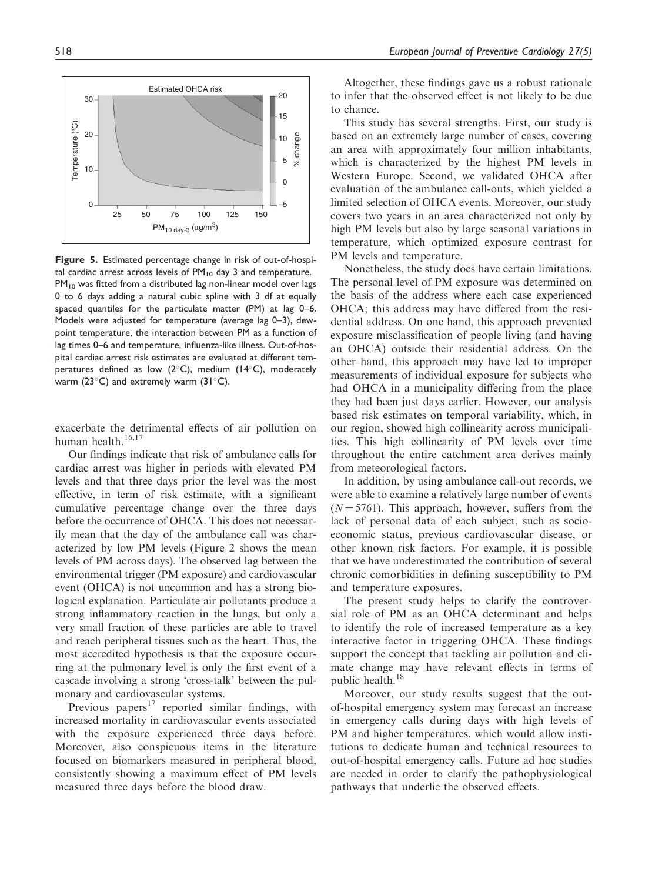

Figure 5. Estimated percentage change in risk of out-of-hospital cardiac arrest across levels of  $PM_{10}$  day 3 and temperature.  $PM<sub>10</sub>$  was fitted from a distributed lag non-linear model over lags 0 to 6 days adding a natural cubic spline with 3 df at equally spaced quantiles for the particulate matter (PM) at lag 0–6. Models were adjusted for temperature (average lag 0–3), dewpoint temperature, the interaction between PM as a function of lag times 0–6 and temperature, influenza-like illness. Out-of-hospital cardiac arrest risk estimates are evaluated at different temperatures defined as low ( $2^{\circ}$ C), medium (14 $^{\circ}$ C), moderately warm (23 $^{\circ}$ C) and extremely warm (31 $^{\circ}$ C).

exacerbate the detrimental effects of air pollution on human health.<sup>16,17</sup>

Our findings indicate that risk of ambulance calls for cardiac arrest was higher in periods with elevated PM levels and that three days prior the level was the most effective, in term of risk estimate, with a significant cumulative percentage change over the three days before the occurrence of OHCA. This does not necessarily mean that the day of the ambulance call was characterized by low PM levels (Figure 2 shows the mean levels of PM across days). The observed lag between the environmental trigger (PM exposure) and cardiovascular event (OHCA) is not uncommon and has a strong biological explanation. Particulate air pollutants produce a strong inflammatory reaction in the lungs, but only a very small fraction of these particles are able to travel and reach peripheral tissues such as the heart. Thus, the most accredited hypothesis is that the exposure occurring at the pulmonary level is only the first event of a cascade involving a strong 'cross-talk' between the pulmonary and cardiovascular systems.

Previous papers $17$  reported similar findings, with increased mortality in cardiovascular events associated with the exposure experienced three days before. Moreover, also conspicuous items in the literature focused on biomarkers measured in peripheral blood, consistently showing a maximum effect of PM levels measured three days before the blood draw.

Altogether, these findings gave us a robust rationale to infer that the observed effect is not likely to be due to chance.

This study has several strengths. First, our study is based on an extremely large number of cases, covering an area with approximately four million inhabitants, which is characterized by the highest PM levels in Western Europe. Second, we validated OHCA after evaluation of the ambulance call-outs, which yielded a limited selection of OHCA events. Moreover, our study covers two years in an area characterized not only by high PM levels but also by large seasonal variations in temperature, which optimized exposure contrast for PM levels and temperature.

Nonetheless, the study does have certain limitations. The personal level of PM exposure was determined on the basis of the address where each case experienced OHCA; this address may have differed from the residential address. On one hand, this approach prevented exposure misclassification of people living (and having an OHCA) outside their residential address. On the other hand, this approach may have led to improper measurements of individual exposure for subjects who had OHCA in a municipality differing from the place they had been just days earlier. However, our analysis based risk estimates on temporal variability, which, in our region, showed high collinearity across municipalities. This high collinearity of PM levels over time throughout the entire catchment area derives mainly from meteorological factors.

In addition, by using ambulance call-out records, we were able to examine a relatively large number of events  $(N = 5761)$ . This approach, however, suffers from the lack of personal data of each subject, such as socioeconomic status, previous cardiovascular disease, or other known risk factors. For example, it is possible that we have underestimated the contribution of several chronic comorbidities in defining susceptibility to PM and temperature exposures.

The present study helps to clarify the controversial role of PM as an OHCA determinant and helps to identify the role of increased temperature as a key interactive factor in triggering OHCA. These findings support the concept that tackling air pollution and climate change may have relevant effects in terms of public health.<sup>18</sup>

Moreover, our study results suggest that the outof-hospital emergency system may forecast an increase in emergency calls during days with high levels of PM and higher temperatures, which would allow institutions to dedicate human and technical resources to out-of-hospital emergency calls. Future ad hoc studies are needed in order to clarify the pathophysiological pathways that underlie the observed effects.